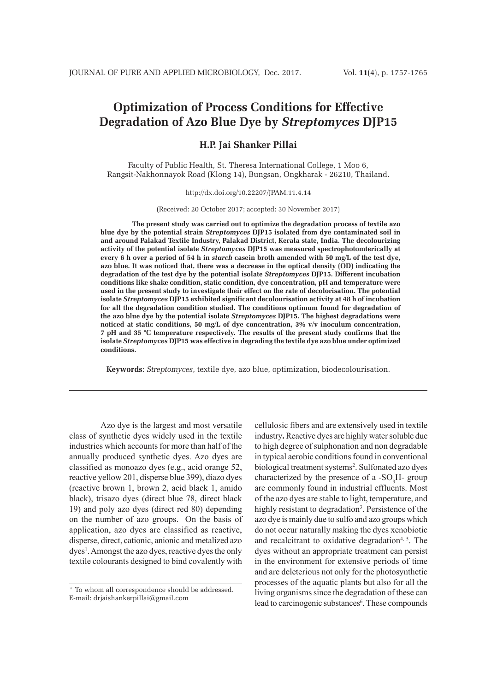# **Optimization of Process Conditions for Effective Degradation of Azo Blue Dye by** *Streptomyces* **DJP15**

## **H.P. Jai Shanker Pillai**

Faculty of Public Health, St. Theresa International College, 1 Moo 6, Rangsit-Nakhonnayok Road (Klong 14), Bungsan, Ongkharak - 26210, Thailand.

#### http://dx.doi.org/10.22207/JPAM.11.4.14

(Received: 20 October 2017; accepted: 30 November 2017)

**The present study was carried out to optimize the degradation process of textile azo blue dye by the potential strain** *Streptomyces* **DJP15 isolated from dye contaminated soil in and around Palakad Textile Industry, Palakad District, Kerala state, India. The decolourizing activity of the potential isolate** *Streptomyces* **DJP15 was measured spectrophotomterically at every 6 h over a period of 54 h in** *starch* **casein broth amended with 50 mg/L of the test dye, azo blue. It was noticed that, there was a decrease in the optical density (OD) indicating the degradation of the test dye by the potential isolate** *Streptomyces* **DJP15. Different incubation conditions like shake condition, static condition, dye concentration, pH and temperature were used in the present study to investigate their effect on the rate of decolorisation. The potential isolate** *Streptomyces* **DJP15 exhibited significant decolourisation activity at 48 h of incubation for all the degradation condition studied. The conditions optimum found for degradation of the azo blue dye by the potential isolate** *Streptomyces* **DJP15. The highest degradations were noticed at static conditions, 50 mg/L of dye concentration, 3% v/v inoculum concentration, 7 pH and 35 °C temperature respectively. The results of the present study confirms that the isolate** *Streptomyces* **DJP15 was effective in degrading the textile dye azo blue under optimized conditions.**

**Keywords**: *Streptomyces*, textile dye, azo blue, optimization, biodecolourisation.

Azo dye is the largest and most versatile class of synthetic dyes widely used in the textile industries which accounts for more than half of the annually produced synthetic dyes. Azo dyes are classified as monoazo dyes (e.g., acid orange 52, reactive yellow 201, disperse blue 399), diazo dyes (reactive brown 1, brown 2, acid black 1, amido black), trisazo dyes (direct blue 78, direct black 19) and poly azo dyes (direct red 80) depending on the number of azo groups. On the basis of application, azo dyes are classified as reactive, disperse, direct, cationic, anionic and metalized azo dyes<sup>1</sup>. Amongst the azo dyes, reactive dyes the only textile colourants designed to bind covalently with

cellulosic fibers and are extensively used in textile industry**.** Reactive dyes are highly water soluble due to high degree of sulphonation and non degradable in typical aerobic conditions found in conventional biological treatment systems<sup>2</sup>. Sulfonated azo dyes characterized by the presence of a - $SO_3H$ - group are commonly found in industrial effluents. Most of the azo dyes are stable to light, temperature, and highly resistant to degradation<sup>3</sup>. Persistence of the azo dye is mainly due to sulfo and azo groups which do not occur naturally making the dyes xenobiotic and recalcitrant to oxidative degradation<sup>4, 5</sup>. The dyes without an appropriate treatment can persist in the environment for extensive periods of time and are deleterious not only for the photosynthetic processes of the aquatic plants but also for all the living organisms since the degradation of these can lead to carcinogenic substances<sup>6</sup>. These compounds

<sup>\*</sup> To whom all correspondence should be addressed. E-mail: drjaishankerpillai@gmail.com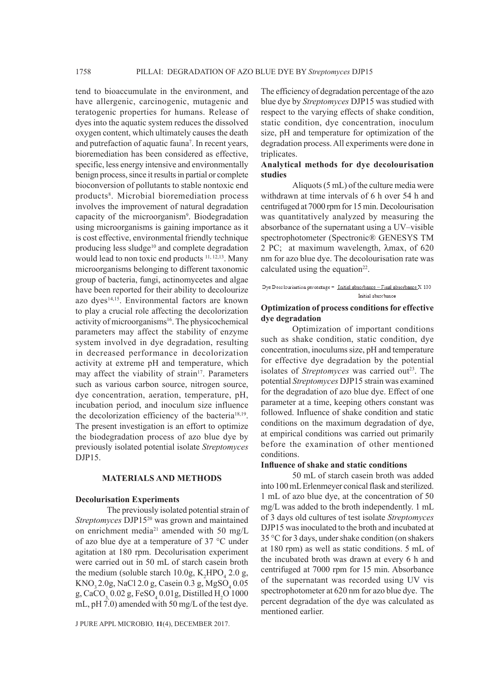tend to bioaccumulate in the environment, and have allergenic, carcinogenic, mutagenic and teratogenic properties for humans. Release of dyes into the aquatic system reduces the dissolved oxygen content, which ultimately causes the death and putrefaction of aquatic fauna<sup>7</sup>. In recent years, bioremediation has been considered as effective, specific, less energy intensive and environmentally benign process, since it results in partial or complete bioconversion of pollutants to stable nontoxic end products<sup>8</sup>. Microbial bioremediation process involves the improvement of natural degradation capacity of the microorganism<sup>9</sup>. Biodegradation using microorganisms is gaining importance as it is cost effective, environmental friendly technique producing less sludge<sup>10</sup> and complete degradation would lead to non toxic end products <sup>11, 12, 13</sup>. Many microorganisms belonging to different taxonomic group of bacteria, fungi, actinomycetes and algae have been reported for their ability to decolourize azo dyes<sup>14,15</sup>. Environmental factors are known to play a crucial role affecting the decolorization activity of microorganisms<sup>16</sup>. The physicochemical parameters may affect the stability of enzyme system involved in dye degradation, resulting in decreased performance in decolorization activity at extreme pH and temperature, which may affect the viability of strain<sup>17</sup>. Parameters such as various carbon source, nitrogen source, dye concentration, aeration, temperature, pH, incubation period, and inoculum size influence the decolorization efficiency of the bacteria18,19. The present investigation is an effort to optimize the biodegradation process of azo blue dye by previously isolated potential isolate *Streptomyces*  DJP15.

#### **MATERIALS AND METHODS**

#### **Decolurisation Experiments**

The previously isolated potential strain of *Streptomyces* DJP1520 was grown and maintained on enrichment media<sup>21</sup> amended with 50 mg/L of azo blue dye at a temperature of 37 °C under agitation at 180 rpm. Decolurisation experiment were carried out in 50 mL of starch casein broth the medium (soluble starch 10.0g,  $K_2HPO_4$  2.0 g, KNO<sub>3</sub> 2.0g, NaCl 2.0 g, Casein 0.3 g, MgSO<sub>4</sub> 0.05 g, CaCO<sub>3,</sub> 0.02 g, FeSO<sub>4</sub> 0.01g, Distilled H<sub>2</sub>O 1000 mL, pH 7.0) amended with 50 mg/L of the test dye.

J PURE APPL MICROBIO*,* **11**(4), DECEMBER 2017.

The efficiency of degradation percentage of the azo blue dye by *Streptomyces* DJP15 was studied with respect to the varying effects of shake condition, static condition, dye concentration, inoculum size, pH and temperature for optimization of the degradation process. All experiments were done in triplicates.

## **Analytical methods for dye decolourisation studies**

Aliquots (5 mL) of the culture media were withdrawn at time intervals of 6 h over 54 h and centrifuged at 7000 rpm for 15 min. Decolourisation was quantitatively analyzed by measuring the absorbance of the supernatant using a UV–visible spectrophotometer (Spectronic® GENESYS TM 2 PC; at maximum wavelength,  $\lambda$ max, of 620 nm for azo blue dye. The decolourisation rate was calculated using the equation $22$ .

#### Dye Decolourisation percentage = Initial absorbance - Final absorbance X 100 Initial absorbance

## **Optimization of process conditions for effective dye degradation**

Optimization of important conditions such as shake condition, static condition, dye concentration, inoculums size, pH and temperature for effective dye degradation by the potential isolates of *Streptomyces* was carried out<sup>23</sup>. The potential *Streptomyces* DJP15 strain was examined for the degradation of azo blue dye. Effect of one parameter at a time, keeping others constant was followed. Influence of shake condition and static conditions on the maximum degradation of dye, at empirical conditions was carried out primarily before the examination of other mentioned conditions.

#### **Influence of shake and static conditions**

50 mL of starch casein broth was added into 100 mL Erlenmeyer conical flask and sterilized. 1 mL of azo blue dye, at the concentration of 50 mg/L was added to the broth independently. 1 mL of 3 days old cultures of test isolate *Streptomyces*  DJP15 was inoculated to the broth and incubated at 35 °C for 3 days, under shake condition (on shakers at 180 rpm) as well as static conditions. 5 mL of the incubated broth was drawn at every 6 h and centrifuged at 7000 rpm for 15 min. Absorbance of the supernatant was recorded using UV vis spectrophotometer at 620 nm for azo blue dye. The percent degradation of the dye was calculated as mentioned earlier.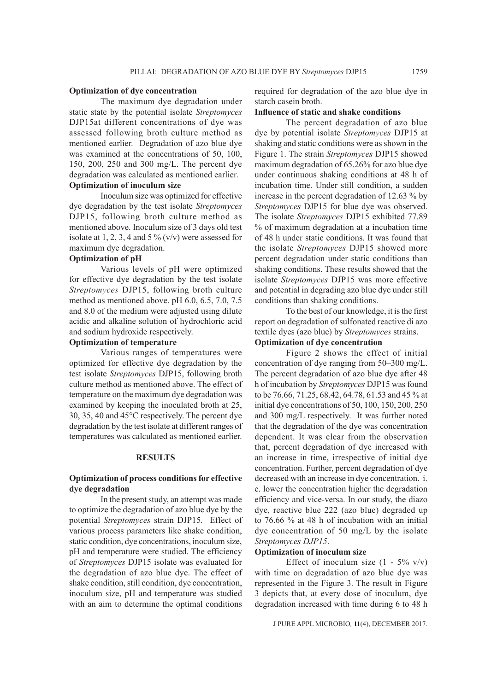#### **Optimization of dye concentration**

The maximum dye degradation under static state by the potential isolate *Streptomyces*  DJP15at different concentrations of dye was assessed following broth culture method as mentioned earlier. Degradation of azo blue dye was examined at the concentrations of 50, 100, 150, 200, 250 and 300 mg/L. The percent dye degradation was calculated as mentioned earlier. **Optimization of inoculum size**

Inoculum size was optimized for effective dye degradation by the test isolate *Streptomyces*  DJP15, following broth culture method as mentioned above. Inoculum size of 3 days old test isolate at 1, 2, 3, 4 and 5 %  $(v/v)$  were assessed for maximum dye degradation.

## **Optimization of pH**

Various levels of pH were optimized for effective dye degradation by the test isolate *Streptomyces* DJP15, following broth culture method as mentioned above. pH 6.0, 6.5, 7.0, 7.5 and 8.0 of the medium were adjusted using dilute acidic and alkaline solution of hydrochloric acid and sodium hydroxide respectively.

## **Optimization of temperature**

Various ranges of temperatures were optimized for effective dye degradation by the test isolate *Streptomyces* DJP15, following broth culture method as mentioned above. The effect of temperature on the maximum dye degradation was examined by keeping the inoculated broth at 25, 30, 35, 40 and 45°C respectively. The percent dye degradation by the test isolate at different ranges of temperatures was calculated as mentioned earlier.

## **RESULTS**

## **Optimization of process conditions for effective dye degradation**

In the present study, an attempt was made to optimize the degradation of azo blue dye by the potential *Streptomyces* strain DJP15*.* Effect of various process parameters like shake condition, static condition, dye concentrations, inoculum size, pH and temperature were studied. The efficiency of *Streptomyces* DJP15 isolate was evaluated for the degradation of azo blue dye. The effect of shake condition, still condition, dye concentration, inoculum size, pH and temperature was studied with an aim to determine the optimal conditions

required for degradation of the azo blue dye in starch casein broth.

## **Influence of static and shake conditions**

The percent degradation of azo blue dye by potential isolate *Streptomyces* DJP15 at shaking and static conditions were as shown in the Figure 1. The strain *Streptomyces* DJP15 showed maximum degradation of 65.26% for azo blue dye under continuous shaking conditions at 48 h of incubation time. Under still condition, a sudden increase in the percent degradation of 12.63 % by *Streptomyces* DJP15 for blue dye was observed. The isolate *Streptomyces* DJP15 exhibited 77.89 % of maximum degradation at a incubation time of 48 h under static conditions. It was found that the isolate *Streptomyces* DJP15 showed more percent degradation under static conditions than shaking conditions. These results showed that the isolate *Streptomyces* DJP15 was more effective and potential in degrading azo blue dye under still conditions than shaking conditions.

To the best of our knowledge, it is the first report on degradation of sulfonated reactive di azo textile dyes (azo blue) by *Streptomyces* strains.

## **Optimization of dye concentration**

Figure 2 shows the effect of initial concentration of dye ranging from 50–300 mg/L. The percent degradation of azo blue dye after 48 h of incubation by *Streptomyces* DJP15 was found to be 76.66, 71.25, 68.42, 64.78, 61.53 and 45 % at initial dye concentrations of 50, 100, 150, 200, 250 and 300 mg/L respectively. It was further noted that the degradation of the dye was concentration dependent. It was clear from the observation that, percent degradation of dye increased with an increase in time, irrespective of initial dye concentration. Further, percent degradation of dye decreased with an increase in dye concentration. i. e. lower the concentration higher the degradation efficiency and vice-versa. In our study, the diazo dye, reactive blue 222 (azo blue) degraded up to 76.66 % at 48 h of incubation with an initial dye concentration of 50 mg/L by the isolate *Streptomyces DJP15*.

## **Optimization of inoculum size**

Effect of inoculum size  $(1 - 5\% \text{ v/v})$ with time on degradation of azo blue dye was represented in the Figure 3. The result in Figure 3 depicts that, at every dose of inoculum, dye degradation increased with time during 6 to 48 h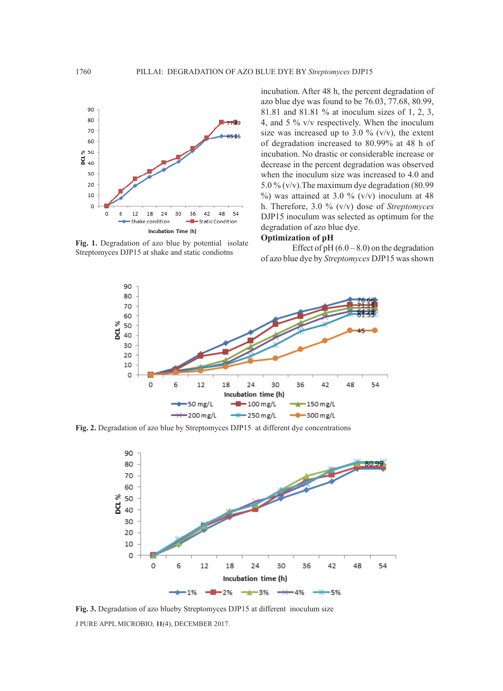

**Fig. 1.** Degradation of azo blue by potential isolate Streptomyces DJP15 at shake and static condiotns

incubation. After 48 h, the percent degradation of azo blue dye was found to be 76.03, 77.68, 80.99, 81.81 and 81.81 % at inoculum sizes of 1, 2, 3, 4, and 5 % v/v respectively. When the inoculum size was increased up to 3.0 % ( $v/v$ ), the extent of degradation increased to 80.99% at 48 h of incubation. No drastic or considerable increase or decrease in the percent degradation was observed when the inoculum size was increased to 4.0 and 5.0 % (v/v).The maximum dye degradation (80.99  $\%$ ) was attained at 3.0 % (v/v) inoculum at 48 h. Therefore, 3.0 % (v/v) dose of *Streptomyces*  DJP15 inoculum was selected as optimum for the degradation of azo blue dye.

## **Optimization of pH**

Effect of  $pH (6.0 – 8.0)$  on the degradation of azo blue dye by *Streptomyces* DJP15 was shown



**Fig. 2.** Degradation of azo blue by Streptomyces DJP15 at different dye concentrations



J PURE APPL MICROBIO*,* **11**(4), DECEMBER 2017. **Fig. 3.** Degradation of azo blueby Streptomyces DJP15 at different inoculum size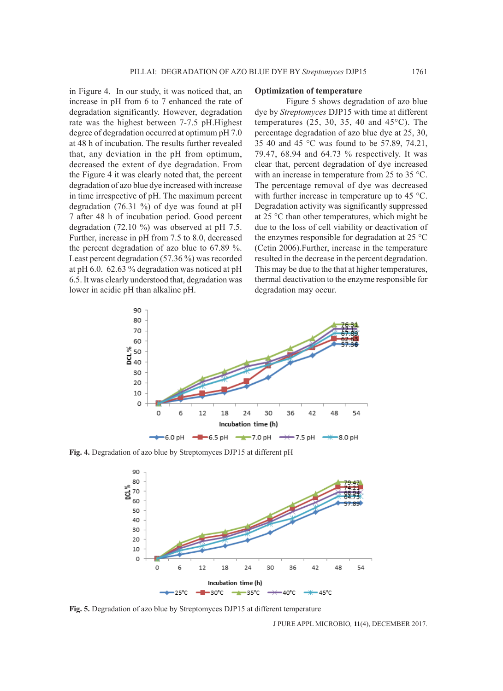in Figure 4. In our study, it was noticed that, an increase in pH from 6 to 7 enhanced the rate of degradation significantly. However, degradation rate was the highest between 7-7.5 pH.Highest degree of degradation occurred at optimum pH 7.0 at 48 h of incubation. The results further revealed that, any deviation in the pH from optimum, decreased the extent of dye degradation. From the Figure 4 it was clearly noted that, the percent degradation of azo blue dye increased with increase in time irrespective of pH. The maximum percent degradation (76.31 %) of dye was found at pH 7 after 48 h of incubation period. Good percent degradation (72.10 %) was observed at pH 7.5. Further, increase in pH from 7.5 to 8.0, decreased the percent degradation of azo blue to 67.89 %. Least percent degradation (57.36 %) was recorded at pH 6.0. 62.63 % degradation was noticed at pH 6.5. It was clearly understood that, degradation was lower in acidic pH than alkaline pH.

#### **Optimization of temperature**

Figure 5 shows degradation of azo blue dye by *Streptomyces* DJP15 with time at different temperatures  $(25, 30, 35, 40, 45^{\circ}$ C). The percentage degradation of azo blue dye at 25, 30, 35 40 and 45 °C was found to be 57.89, 74.21, 79.47, 68.94 and 64.73 % respectively. It was clear that, percent degradation of dye increased with an increase in temperature from 25 to 35 °C. The percentage removal of dye was decreased with further increase in temperature up to 45 °C. Degradation activity was significantly suppressed at 25 °C than other temperatures, which might be due to the loss of cell viability or deactivation of the enzymes responsible for degradation at 25 °C (Cetin 2006).Further, increase in the temperature resulted in the decrease in the percent degradation. This may be due to the that at higher temperatures, thermal deactivation to the enzyme responsible for degradation may occur.



**Fig. 4.** Degradation of azo blue by Streptomyces DJP15 at different pH



**Fig. 5.** Degradation of azo blue by Streptomyces DJP15 at different temperature

J PURE APPL MICROBIO*,* **11**(4), DECEMBER 2017.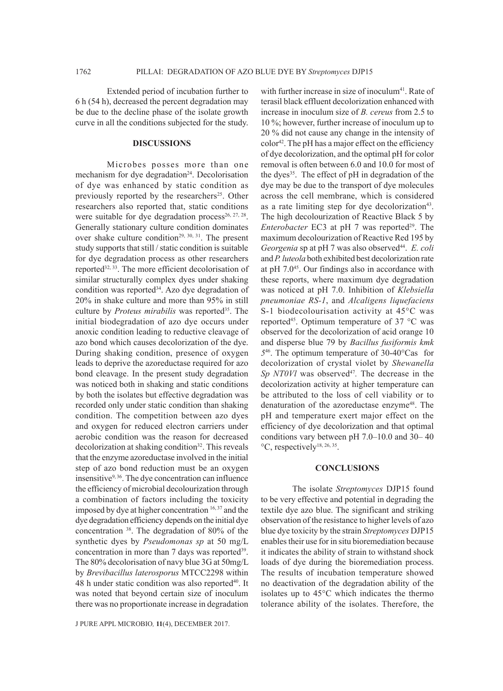Extended period of incubation further to 6 h (54 h), decreased the percent degradation may be due to the decline phase of the isolate growth curve in all the conditions subjected for the study.

## **DISCUSSIONS**

Microbes posses more than one mechanism for dye degradation<sup>24</sup>. Decolorisation of dye was enhanced by static condition as previously reported by the researchers<sup>25</sup>. Other researchers also reported that, static conditions were suitable for dye degradation process<sup>26, 27, 28</sup>. Generally stationary culture condition dominates over shake culture condition<sup>29, 30, 31</sup>. The present study supports that still / static condition is suitable for dye degradation process as other researchers reported<sup>32, 33</sup>. The more efficient decolorisation of similar structurally complex dyes under shaking condition was reported<sup>34</sup>. Azo dye degradation of 20% in shake culture and more than 95% in still culture by *Proteus mirabilis* was reported<sup>35</sup>. The initial biodegradation of azo dye occurs under anoxic condition leading to reductive cleavage of azo bond which causes decolorization of the dye. During shaking condition, presence of oxygen leads to deprive the azoreductase required for azo bond cleavage. In the present study degradation was noticed both in shaking and static conditions by both the isolates but effective degradation was recorded only under static condition than shaking condition. The competition between azo dyes and oxygen for reduced electron carriers under aerobic condition was the reason for decreased decolorization at shaking condition<sup>32</sup>. This reveals that the enzyme azoreductase involved in the initial step of azo bond reduction must be an oxygen insensitive9, 36. The dye concentration can influence the efficiency of microbial decolourization through a combination of factors including the toxicity imposed by dye at higher concentration 16, 37 and the dye degradation efficiency depends on the initial dye concentration 38. The degradation of 80% of the synthetic dyes by *Pseudomonas sp* at 50 mg/L concentration in more than 7 days was reported<sup>39</sup>. The 80% decolorisation of navy blue 3G at 50mg/L by *Brevibacillus laterosporus* MTCC2298 within 48 h under static condition was also reported<sup>40</sup>. It was noted that beyond certain size of inoculum there was no proportionate increase in degradation

J PURE APPL MICROBIO*,* **11**(4), DECEMBER 2017.

with further increase in size of inoculum<sup>41</sup>. Rate of terasil black effluent decolorization enhanced with increase in inoculum size of *B. cereus* from 2.5 to 10 %; however, further increase of inoculum up to 20 % did not cause any change in the intensity of color<sup>42</sup>. The pH has a major effect on the efficiency of dye decolorization, and the optimal pH for color removal is often between 6.0 and 10.0 for most of the dyes<sup>35</sup>. The effect of pH in degradation of the dye may be due to the transport of dye molecules across the cell membrane, which is considered as a rate limiting step for dye decolorization<sup>43</sup>. The high decolourization of Reactive Black 5 by *Enterobacter* EC3 at pH 7 was reported<sup>29</sup>. The maximum decolourization of Reactive Red 195 by Georgenia sp at pH 7 was also observed<sup>44</sup>. E. coli and *P. luteola* both exhibited best decolorization rate at pH 7.045. Our findings also in accordance with these reports, where maximum dye degradation was noticed at pH 7.0. Inhibition of *Klebsiella pneumoniae RS-1*, and *Alcaligens liquefaciens* S-1 biodecolourisation activity at 45°C was reported45. Optimum temperature of 37 °C was observed for the decolorization of acid orange 10 and disperse blue 79 by *Bacillus fusiformis kmk 5*46. The optimum temperature of 30-40°Cas for decolorization of crystal violet by *Shewanella Sp NT0Vl* was observed<sup>47</sup>. The decrease in the decolorization activity at higher temperature can be attributed to the loss of cell viability or to denaturation of the azoreductase enzyme<sup>48</sup>. The pH and temperature exert major effect on the efficiency of dye decolorization and that optimal conditions vary between pH 7.0–10.0 and 30– 40  $\rm{^{\circ}C}$ , respectively<sup>18, 26, 35</sup>.

#### **CONCLUSIONS**

The isolate *Streptomyces* DJP15 found to be very effective and potential in degrading the textile dye azo blue. The significant and striking observation of the resistance to higher levels of azo blue dye toxicity by the strain *Streptomyces* DJP15 enables their use for in situ bioremediation because it indicates the ability of strain to withstand shock loads of dye during the bioremediation process. The results of incubation temperature showed no deactivation of the degradation ability of the isolates up to 45°C which indicates the thermo tolerance ability of the isolates. Therefore, the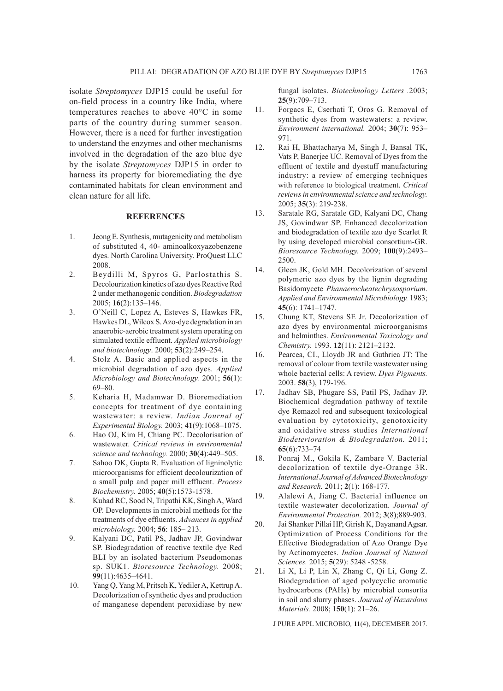isolate *Streptomyces* DJP15 could be useful for on-field process in a country like India, where temperatures reaches to above 40°C in some parts of the country during summer season. However, there is a need for further investigation to understand the enzymes and other mechanisms involved in the degradation of the azo blue dye by the isolate *Streptomyces* DJP15 in order to harness its property for bioremediating the dye contaminated habitats for clean environment and clean nature for all life.

## **REFERENCES**

- 1. Jeong E. Synthesis, mutagenicity and metabolism of substituted 4, 40- aminoalkoxyazobenzene dyes. North Carolina University. ProQuest LLC 2008.
- 2. Beydilli M, Spyros G, Parlostathis S. Decolourization kinetics of azo dyes Reactive Red 2 under methanogenic condition. *Biodegradation*  2005; **16**(2):135–146.
- 3. O'Neill C, Lopez A, Esteves S, Hawkes FR, Hawkes DL, Wilcox S. Azo-dye degradation in an anaerobic-aerobic treatment system operating on simulated textile effluent. *Applied microbiology and biotechnology*. 2000; **53**(2):249–254.
- 4. Stolz A. Basic and applied aspects in the microbial degradation of azo dyes. *Applied Microbiology and Biotechnology.* 2001; **56**(1): 69–80.
- 5. Keharia H, Madamwar D. Bioremediation concepts for treatment of dye containing wastewater: a review. *Indian Journal of Experimental Biology.* 2003; **41**(9):1068–1075.
- 6. Hao OJ, Kim H, Chiang PC. Decolorisation of wastewater. *Critical reviews in environmental science and technology.* 2000; **30**(4):449–505.
- 7. Sahoo DK, Gupta R. Evaluation of ligninolytic microorganisms for efficient decolourization of a small pulp and paper mill effluent. *Process Biochemistry.* 2005; **40**(5):1573-1578.
- 8. Kuhad RC, Sood N, Tripathi KK, Singh A, Ward OP. Developments in microbial methods for the treatments of dye effluents. *Advances in applied microbiology.* 2004; **56**: 185– 213.
- 9. Kalyani DC, Patil PS, Jadhav JP, Govindwar SP. Biodegradation of reactive textile dye Red BLI by an isolated bacterium Pseudomonas sp. SUK1. *Bioresource Technology.* 2008; **99**(11):4635–4641.
- 10. Yang Q, Yang M, Pritsch K, Yediler A, Kettrup A. Decolorization of synthetic dyes and production of manganese dependent peroxidiase by new

fungal isolates. *Biotechnology Letters .*2003; **25**(9):709–713.

- 11. Forgacs E, Cserhati T, Oros G. Removal of synthetic dyes from wastewaters: a review. *Environment international.* 2004; **30**(7): 953– 971.
- 12. Rai H, Bhattacharya M, Singh J, Bansal TK, Vats P, Banerjee UC. Removal of Dyes from the effluent of textile and dyestuff manufacturing industry: a review of emerging techniques with reference to biological treatment. *Critical reviews in environmental science and technology.*  2005; **35**(3): 219-238.
- 13. Saratale RG, Saratale GD, Kalyani DC, Chang JS, Govindwar SP. Enhanced decolorization and biodegradation of textile azo dye Scarlet R by using developed microbial consortium-GR. *Bioresource Technology.* 2009; **100**(9):2493– 2500.
- 14. Gleen JK, Gold MH. Decolorization of several polymeric azo dyes by the lignin degrading Basidomycete *Phanaerocheatechrysosporium*. *Applied and Environmental Microbiology.* 1983; **45**(6): 1741–1747.
- 15. Chung KT, Stevens SE Jr. Decolorization of azo dyes by environmental microorganisms and helminthes. *Environmental Toxicology and Chemistry.* 1993. **12**(11): 2121–2132.
- 16. Pearcea, CI., Lloydb JR and Guthriea JT: The removal of colour from textile wastewater using whole bacterial cells: A review. *Dyes Pigments.*  2003. **58**(3), 179-196.
- 17. Jadhav SB, Phugare SS, Patil PS, Jadhav JP. Biochemical degradation pathway of textile dye Remazol red and subsequent toxicological evaluation by cytotoxicity, genotoxicity and oxidative stress studies *International Biodeterioration & Biodegradation.* 2011; **65**(6):733–74
- 18. Ponraj M., Gokila K, Zambare V. Bacterial decolorization of textile dye-Orange 3R. *International Journal of Advanced Biotechnology and Research.* 2011; **2**(1): 168-177.
- 19. Alalewi A, Jiang C. Bacterial influence on textile wastewater decolorization. *Journal of Environmental Protection.* 2012; **3**(8);889-903.
- 20. Jai Shanker Pillai HP, Girish K, Dayanand Agsar. Optimization of Process Conditions for the Effective Biodegradation of Azo Orange Dye by Actinomycetes. *Indian Journal of Natural Sciences.* 2015; **5**(29): 5248 -5258.
- 21. Li X, Li P, Lin X, Zhang C, Qi Li, Gong Z. Biodegradation of aged polycyclic aromatic hydrocarbons (PAHs) by microbial consortia in soil and slurry phases. *Journal of Hazardous Materials.* 2008; **150**(1): 21–26.

J PURE APPL MICROBIO*,* **11**(4), DECEMBER 2017.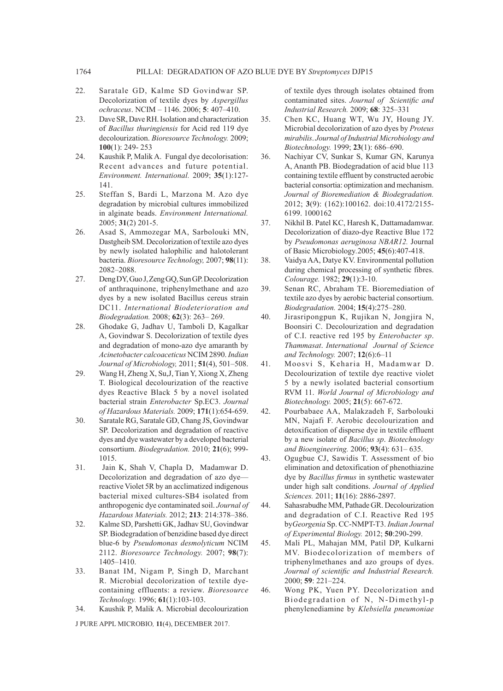- 22. Saratale GD, Kalme SD Govindwar SP. Decolorization of textile dyes by *Aspergillus ochraceus*. NCIM – 1146. 2006; **5**: 407–410.
- 23. Dave SR, Dave RH. Isolation and characterization of *Bacillus thuringiensis* for Acid red 119 dye decolourization. *Bioresource Technology.* 2009; **100**(1): 249- 253
- 24. Kaushik P, Malik A. Fungal dye decolorisation: Recent advances and future potential. *Environment. International.* 2009; **35**(1):127- 141.
- 25. Steffan S, Bardi L, Marzona M. Azo dye degradation by microbial cultures immobilized in alginate beads. *Environment International.*  2005; **31**(2) 201-5.
- 26. Asad S, Ammozegar MA, Sarbolouki MN, Dastgheib SM. Decolorization of textile azo dyes by newly isolated halophilic and halotolerant bacteria. *Bioresource Technology,* 2007; **98**(11): 2082–2088.
- 27. Deng DY, Guo J, Zeng GQ, Sun GP. Decolorization of anthraquinone, triphenylmethane and azo dyes by a new isolated Bacillus cereus strain DC11. *International Biodeterioration and Biodegradation.* 2008; **62**(3): 263– 269.
- 28. Ghodake G, Jadhav U, Tamboli D, Kagalkar A, Govindwar S. Decolorization of textile dyes and degradation of mono-azo dye amaranth by *Acinetobacter calcoaceticus* NCIM 2890. *Indian Journal of Microbiology,* 2011; **51**(4), 501–508.
- 29. Wang H, Zheng X, Su,J, Tian Y, Xiong X, Zheng T. Biological decolourization of the reactive dyes Reactive Black 5 by a novel isolated bacterial strain *Enterobacter* Sp.EC3. *Journal of Hazardous Materials.* 2009; **171**(1):654-659.
- 30. Saratale RG, Saratale GD, Chang JS, Govindwar SP. Decolorization and degradation of reactive dyes and dye wastewater by a developed bacterial consortium. *Biodegradation.* 2010; **21**(6); 999- 1015.
- 31. Jain K, Shah V, Chapla D, Madamwar D. Decolorization and degradation of azo dye reactive Violet 5R by an acclimatized indigenous bacterial mixed cultures-SB4 isolated from anthropogenic dye contaminated soil. *Journal of Hazardous Materials.* 2012; **213**: 214:378–386.
- 32. Kalme SD, Parshetti GK, Jadhav SU, Govindwar SP. Biodegradation of benzidine based dye direct blue-6 by *Pseudomonas desmolyticum* NCIM 2112. *Bioresource Technology.* 2007; **98**(7): 1405–1410.
- 33. Banat IM, Nigam P, Singh D, Marchant R. Microbial decolorization of textile dyecontaining effluents: a review. *Bioresource Technology.* 1996; **61**(1):103-103.
- 34. Kaushik P, Malik A. Microbial decolourization

J PURE APPL MICROBIO*,* **11**(4), DECEMBER 2017.

of textile dyes through isolates obtained from contaminated sites. *Journal of Scientific and Industrial Research.* 2009; **68**: 325–331

- 35. Chen KC, Huang WT, Wu JY, Houng JY. Microbial decolorization of azo dyes by *Proteus mirabilis*. *Journal of Industrial Microbiology and Biotechnology.* 1999; **23**(1): 686–690.
- 36. Nachiyar CV, Sunkar S, Kumar GN, Karunya A, Ananth PB. Biodegradation of acid blue 113 containing textile effluent by constructed aerobic bacterial consortia: optimization and mechanism. *Journal of Bioremediation & Biodegradation.*  2012; **3**(9): (162):100162. doi:10.4172/2155- 6199. 1000162
- 37. Nikhil B. Patel KC, Haresh K, Dattamadamwar. Decolorization of diazo-dye Reactive Blue 172 by *Pseudomonas aeruginosa NBAR12.* Journal of Basic Microbiology*.*2005; **45**(6):407-418.
- 38. Vaidya AA, Datye KV. Environmental pollution during chemical processing of synthetic fibres. *Colourage.* 1982; **29**(1):3-10.
- 39. Senan RC, Abraham TE. Bioremediation of textile azo dyes by aerobic bacterial consortium. *Biodegradation.* 2004; **15**(4):275–280.
- 40. Jirasripongpun K, Rujikan N, Jongjira N, Boonsiri C. Decolourization and degradation of C.I. reactive red 195 by *Enterobacter sp*. *Thammasat*. *International Journal of Science and Technology.* 2007; **12**(6):6–11
- 41. Moosvi S, Keharia H, Madamwar D. Decolourization of textile dye reactive violet 5 by a newly isolated bacterial consortium RVM 11. *World Journal of Microbiology and Biotechnology.* 2005; **21**(5): 667-672.
- 42. Pourbabaee AA, Malakzadeh F, Sarbolouki MN, Najafi F. Aerobic decolourization and detoxification of disperse dye in textile effluent by a new isolate of *Bacillus sp*. *Biotechnology and Bioengineering.* 2006; **93**(4): 631– 635.
- 43. Ogugbue CJ, Sawidis T. Assessment of bio elimination and detoxification of phenothiazine dye by *Bacillus firmus* in synthetic wastewater under high salt conditions. *Journal of Applied Sciences.* 2011; **11**(16): 2886-2897.
- 44. Sahasrabudhe MM, Pathade GR. Decolourization and degradation of C.I. Reactive Red 195 by*Georgenia* Sp. CC-NMPT-T3. *Indian Journal of Experimental Biology.* 2012; **50**:290-299.
- 45. Mali PL, Mahajan MM, Patil DP, Kulkarni MV. Biodecolorization of members of triphenylmethanes and azo groups of dyes. *Journal of scientific and Industrial Research.*  2000; **59**: 221–224.
- 46. Wong PK, Yuen PY. Decolorization and Biodegradation of N, N-Dimethyl-p phenylenediamine by *Klebsiella pneumoniae*